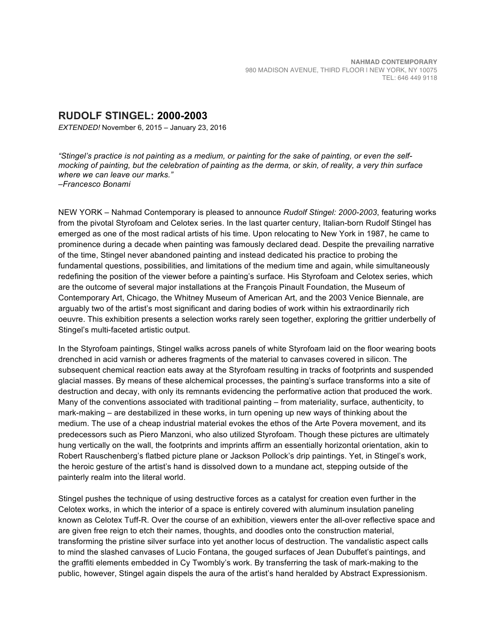## **RUDOLF STINGEL: 2000-2003**

*EXTENDED!* November 6, 2015 – January 23, 2016

*"Stingel's practice is not painting as a medium, or painting for the sake of painting, or even the selfmocking of painting, but the celebration of painting as the derma, or skin, of reality, a very thin surface where we can leave our marks." –Francesco Bonami* 

NEW YORK – Nahmad Contemporary is pleased to announce *Rudolf Stingel: 2000-2003*, featuring works from the pivotal Styrofoam and Celotex series. In the last quarter century, Italian-born Rudolf Stingel has emerged as one of the most radical artists of his time. Upon relocating to New York in 1987, he came to prominence during a decade when painting was famously declared dead. Despite the prevailing narrative of the time, Stingel never abandoned painting and instead dedicated his practice to probing the fundamental questions, possibilities, and limitations of the medium time and again, while simultaneously redefining the position of the viewer before a painting's surface. His Styrofoam and Celotex series, which are the outcome of several major installations at the François Pinault Foundation, the Museum of Contemporary Art, Chicago, the Whitney Museum of American Art, and the 2003 Venice Biennale, are arguably two of the artist's most significant and daring bodies of work within his extraordinarily rich oeuvre. This exhibition presents a selection works rarely seen together, exploring the grittier underbelly of Stingel's multi-faceted artistic output.

In the Styrofoam paintings, Stingel walks across panels of white Styrofoam laid on the floor wearing boots drenched in acid varnish or adheres fragments of the material to canvases covered in silicon. The subsequent chemical reaction eats away at the Styrofoam resulting in tracks of footprints and suspended glacial masses. By means of these alchemical processes, the painting's surface transforms into a site of destruction and decay, with only its remnants evidencing the performative action that produced the work. Many of the conventions associated with traditional painting – from materiality, surface, authenticity, to mark-making – are destabilized in these works, in turn opening up new ways of thinking about the medium. The use of a cheap industrial material evokes the ethos of the Arte Povera movement, and its predecessors such as Piero Manzoni, who also utilized Styrofoam. Though these pictures are ultimately hung vertically on the wall, the footprints and imprints affirm an essentially horizontal orientation, akin to Robert Rauschenberg's flatbed picture plane or Jackson Pollock's drip paintings. Yet, in Stingel's work, the heroic gesture of the artist's hand is dissolved down to a mundane act, stepping outside of the painterly realm into the literal world.

Stingel pushes the technique of using destructive forces as a catalyst for creation even further in the Celotex works, in which the interior of a space is entirely covered with aluminum insulation paneling known as Celotex Tuff-R. Over the course of an exhibition, viewers enter the all-over reflective space and are given free reign to etch their names, thoughts, and doodles onto the construction material, transforming the pristine silver surface into yet another locus of destruction. The vandalistic aspect calls to mind the slashed canvases of Lucio Fontana, the gouged surfaces of Jean Dubuffet's paintings, and the graffiti elements embedded in Cy Twombly's work. By transferring the task of mark-making to the public, however, Stingel again dispels the aura of the artist's hand heralded by Abstract Expressionism.